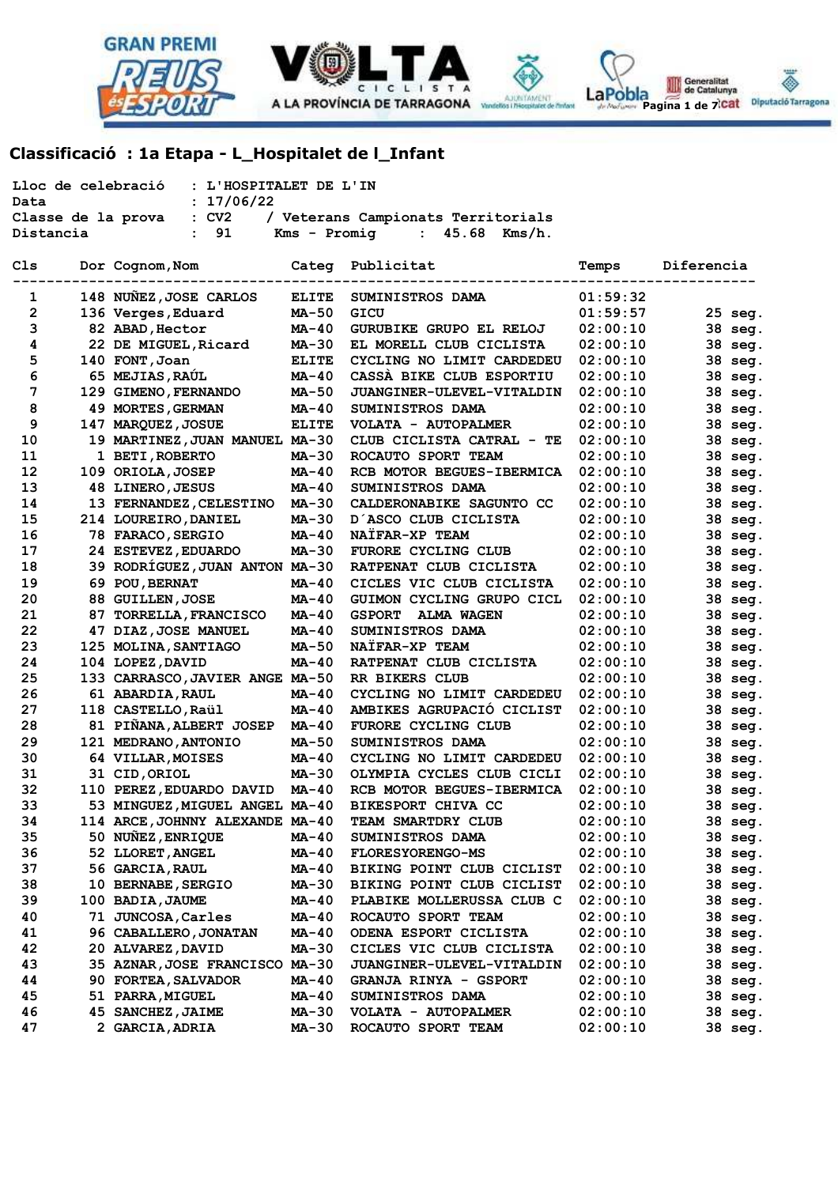



Generalitat<br>de Catalunya La Pobla de Catalunya<br>Pagina 1 de 7<sup>1</sup>Cat Diputadó Tarragona

۵

 **Classificació : 1a Etapa - L\_Hospitalet de l\_Infant** 

| Lloc de celebració<br>: L'HOSPITALET DE L'IN<br>: 17/06/22<br>Data<br>$:$ CV2<br>/ Veterans Campionats Territorials<br>Classe de la prova |                                 |              |                                    |          |            |  |  |  |  |
|-------------------------------------------------------------------------------------------------------------------------------------------|---------------------------------|--------------|------------------------------------|----------|------------|--|--|--|--|
| 91<br>Kms - Promig<br>45.68<br>Kms/h.<br>Distancia<br>$\mathbf{L}$<br>$\mathbf{r}$                                                        |                                 |              |                                    |          |            |  |  |  |  |
| Cls                                                                                                                                       | Dor Cognom, Nom                 | Categ        | Publicitat                         | Temps    | Diferencia |  |  |  |  |
| 1                                                                                                                                         | 148 NUÑEZ, JOSE CARLOS          | <b>ELITE</b> | SUMINISTROS DAMA                   | 01:59:32 |            |  |  |  |  |
| $\mathbf{2}$                                                                                                                              | 136 Verges, Eduard              | <b>MA-50</b> | GICU                               | 01:59:57 | 25 seg.    |  |  |  |  |
| 3                                                                                                                                         | 82 ABAD, Hector                 | MA-40        | GURUBIKE GRUPO EL RELOJ            | 02:00:10 | 38 seg.    |  |  |  |  |
| 4                                                                                                                                         | 22 DE MIGUEL, Ricard            | MA-30        | EL MORELL CLUB CICLISTA            | 02:00:10 | 38 seg.    |  |  |  |  |
| 5                                                                                                                                         | 140 FONT, Joan                  | <b>ELITE</b> | CYCLING NO LIMIT CARDEDEU          | 02:00:10 | 38 seg.    |  |  |  |  |
| 6                                                                                                                                         | 65 MEJIAS, RAUL                 | MA-40        | CASSA BIKE CLUB ESPORTIU           | 02:00:10 | 38 seg.    |  |  |  |  |
| 7                                                                                                                                         | 129 GIMENO, FERNANDO            | <b>MA-50</b> | JUANGINER-ULEVEL-VITALDIN          | 02:00:10 | 38 seg.    |  |  |  |  |
| 8                                                                                                                                         | 49 MORTES, GERMAN               | MA-40        | SUMINISTROS DAMA                   | 02:00:10 | 38 seg.    |  |  |  |  |
| 9                                                                                                                                         | 147 MARQUEZ, JOSUE              | <b>ELITE</b> | VOLATA - AUTOPALMER                | 02:00:10 | 38 seg.    |  |  |  |  |
| 10                                                                                                                                        | 19 MARTINEZ, JUAN MANUEL MA-30  |              | CLUB CICLISTA CATRAL - TE          | 02:00:10 | 38 seg.    |  |  |  |  |
| 11                                                                                                                                        | 1 BETI, ROBERTO                 | <b>MA-30</b> | ROCAUTO SPORT TEAM                 | 02:00:10 | 38 seg.    |  |  |  |  |
| 12                                                                                                                                        | 109 ORIOLA, JOSEP               | MA-40        | RCB MOTOR BEGUES-IBERMICA          | 02:00:10 | 38 seg.    |  |  |  |  |
| 13                                                                                                                                        | 48 LINERO, JESUS                | MA-40        | SUMINISTROS DAMA                   | 02:00:10 | 38 seg.    |  |  |  |  |
| 14                                                                                                                                        | 13 FERNANDEZ, CELESTINO         | <b>MA-30</b> | CALDERONABIKE SAGUNTO CC           | 02:00:10 | 38 seg.    |  |  |  |  |
| 15                                                                                                                                        | 214 LOUREIRO, DANIEL            | MA-30        | D'ASCO CLUB CICLISTA               | 02:00:10 | 38 seg.    |  |  |  |  |
| 16                                                                                                                                        | 78 FARACO, SERGIO               | MA-40        | NAÏFAR-XP TEAM                     | 02:00:10 | 38 seg.    |  |  |  |  |
| 17                                                                                                                                        | 24 ESTEVEZ, EDUARDO             | MA-30        | FURORE CYCLING CLUB                | 02:00:10 | 38 seg.    |  |  |  |  |
| 18                                                                                                                                        | 39 RODRÍGUEZ, JUAN ANTON MA-30  |              | RATPENAT CLUB CICLISTA             | 02:00:10 | 38 seg.    |  |  |  |  |
| 19                                                                                                                                        | 69 POU, BERNAT                  | MA-40        | CICLES VIC CLUB CICLISTA           | 02:00:10 | 38 seg.    |  |  |  |  |
| 20                                                                                                                                        | 88 GUILLEN, JOSE                | $MA-40$      | GUIMON CYCLING GRUPO CICL          | 02:00:10 | 38 seg.    |  |  |  |  |
| 21<br>87                                                                                                                                  | <b>TORRELLA, FRANCISCO</b>      | MA-40        | <b>GSPORT</b><br><b>ALMA WAGEN</b> | 02:00:10 | 38 seg.    |  |  |  |  |
| 22                                                                                                                                        | 47 DIAZ, JOSE MANUEL            | MA-40        | SUMINISTROS DAMA                   | 02:00:10 | 38 seg.    |  |  |  |  |
| 23                                                                                                                                        | 125 MOLINA, SANTIAGO            | <b>MA-50</b> | NAÏFAR-XP TEAM                     | 02:00:10 | 38 seg.    |  |  |  |  |
| 24                                                                                                                                        | 104 LOPEZ, DAVID                | <b>MA-40</b> | RATPENAT CLUB CICLISTA             | 02:00:10 | 38 seg.    |  |  |  |  |
| 25                                                                                                                                        | 133 CARRASCO, JAVIER ANGE MA-50 |              | RR BIKERS CLUB                     | 02:00:10 | 38 seg.    |  |  |  |  |
| 26                                                                                                                                        | 61 ABARDIA, RAUL                | MA-40        | CYCLING NO LIMIT CARDEDEU          | 02:00:10 | 38 seg.    |  |  |  |  |
| 27                                                                                                                                        | 118 CASTELLO, Raül              | MA-40        | AMBIKES AGRUPACIÓ CICLIST          | 02:00:10 | 38 seg.    |  |  |  |  |
| 28                                                                                                                                        | 81 PIÑANA, ALBERT JOSEP         | <b>MA-40</b> | <b>FURORE CYCLING CLUB</b>         | 02:00:10 | 38 seg.    |  |  |  |  |
| 29                                                                                                                                        | 121 MEDRANO, ANTONIO            | <b>MA-50</b> | SUMINISTROS DAMA                   | 02:00:10 | 38 seg.    |  |  |  |  |
| 30                                                                                                                                        | 64 VILLAR, MOISES               | $MA-40$      | CYCLING NO LIMIT CARDEDEU          | 02:00:10 | 38 seg.    |  |  |  |  |
| 31                                                                                                                                        | 31 CID, ORIOL                   | MA-30        | OLYMPIA CYCLES CLUB CICLI          | 02:00:10 | 38 seg.    |  |  |  |  |
| 32                                                                                                                                        | 110 PEREZ, EDUARDO DAVID        | $MA-40$      | RCB MOTOR BEGUES-IBERMICA          | 02:00:10 | 38 seg.    |  |  |  |  |
| 33                                                                                                                                        | 53 MINGUEZ, MIGUEL ANGEL MA-40  |              | <b>BIKESPORT CHIVA CC</b>          | 02:00:10 | 38 seg.    |  |  |  |  |
| 34                                                                                                                                        | 114 ARCE, JOHNNY ALEXANDE MA-40 |              | TEAM SMARTDRY CLUB                 | 02:00:10 | 38 seg.    |  |  |  |  |
| 35                                                                                                                                        | 50 NUÑEZ, ENRIQUE               | MA-40        | SUMINISTROS DAMA                   | 02:00:10 | 38 seg.    |  |  |  |  |
| 36                                                                                                                                        | 52 LLORET, ANGEL                | MA-40        | FLORESYORENGO-MS                   | 02:00:10 | 38 seg.    |  |  |  |  |
| 37                                                                                                                                        | 56 GARCIA, RAUL                 | MA-40        | BIKING POINT CLUB CICLIST          | 02:00:10 | 38 seg.    |  |  |  |  |
| 38                                                                                                                                        | 10 BERNABE, SERGIO              | MA-30        | BIKING POINT CLUB CICLIST          | 02:00:10 | 38 seg.    |  |  |  |  |
| 39                                                                                                                                        | 100 BADIA, JAUME                | MA-40        | PLABIKE MOLLERUSSA CLUB C          | 02:00:10 | 38 seg.    |  |  |  |  |
| 40                                                                                                                                        | 71 JUNCOSA, Carles              | MA-40        | ROCAUTO SPORT TEAM                 | 02:00:10 | 38 seg.    |  |  |  |  |
| 41                                                                                                                                        | 96 CABALLERO, JONATAN           | MA-40        | ODENA ESPORT CICLISTA              | 02:00:10 | 38 seg.    |  |  |  |  |
| 42                                                                                                                                        | 20 ALVAREZ, DAVID               | MA-30        | CICLES VIC CLUB CICLISTA           | 02:00:10 | 38 seg.    |  |  |  |  |
| 43                                                                                                                                        | 35 AZNAR, JOSE FRANCISCO MA-30  |              | JUANGINER-ULEVEL-VITALDIN          | 02:00:10 | 38 seg.    |  |  |  |  |
| 44                                                                                                                                        | 90 FORTEA, SALVADOR             | MA-40        | GRANJA RINYA - GSPORT              | 02:00:10 | 38 seg.    |  |  |  |  |
| 45                                                                                                                                        | 51 PARRA, MIGUEL                | MA-40        | SUMINISTROS DAMA                   | 02:00:10 | 38 seg.    |  |  |  |  |
| 46                                                                                                                                        | 45 SANCHEZ, JAIME               | MA-30        | VOLATA - AUTOPALMER                | 02:00:10 | 38 seg.    |  |  |  |  |
| 47                                                                                                                                        | 2 GARCIA, ADRIA                 | MA-30        | ROCAUTO SPORT TEAM                 | 02:00:10 | 38 seg.    |  |  |  |  |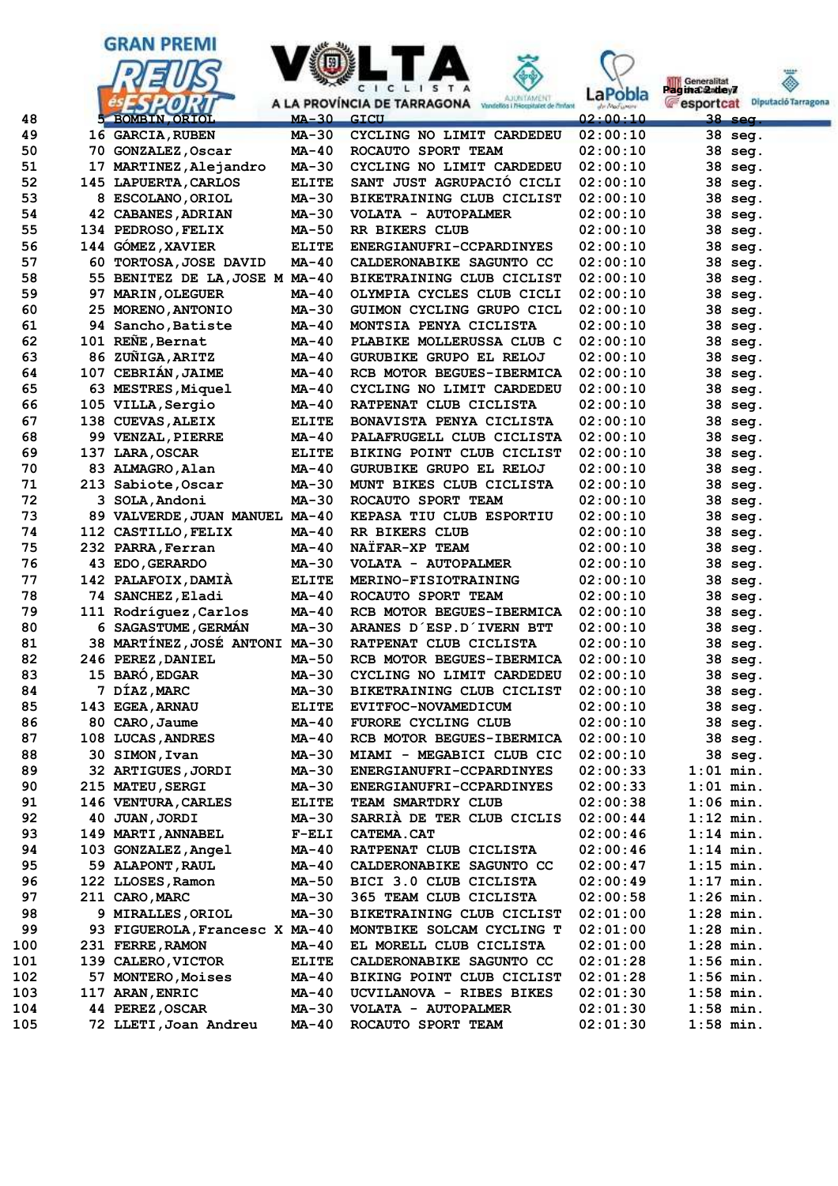



**N** Generalitat

| Generalitat<br>aginaCandey7 |                     |
|-----------------------------|---------------------|
| esportcat                   | Diputació Tarragona |
| 38<br>sea.                  |                     |

| 49  |    | 16 GARCIA, RUBEN               | $MA-30$      | CYCLING NO LIMIT CARDEDEU        | 02:00:10 | 38 seg.     |
|-----|----|--------------------------------|--------------|----------------------------------|----------|-------------|
| 50  |    | 70 GONZALEZ, Oscar             | MA-40        | ROCAUTO SPORT TEAM               | 02:00:10 | 38 seg.     |
| 51  |    | 17 MARTINEZ, Alejandro         | MA-30        | CYCLING NO LIMIT CARDEDEU        | 02:00:10 | 38<br>seq.  |
| 52  |    | 145 LAPUERTA, CARLOS           | <b>ELITE</b> | SANT JUST AGRUPACIÓ CICLI        | 02:00:10 | 38<br>seg.  |
| 53  |    | 8 ESCOLANO, ORIOL              | MA-30        | BIKETRAINING CLUB CICLIST        | 02:00:10 | 38<br>seg.  |
| 54  |    | <b>42 CABANES, ADRIAN</b>      | MA-30        | VOLATA - AUTOPALMER              | 02:00:10 | 38<br>seg.  |
| 55  |    | 134 PEDROSO, FELIX             | MA-50        | RR BIKERS CLUB                   | 02:00:10 | 38<br>seg.  |
| 56  |    | 144 GÓMEZ, XAVIER              | <b>ELITE</b> | ENERGIANUFRI-CCPARDINYES         | 02:00:10 | 38<br>seg.  |
| 57  |    | 60 TORTOSA, JOSE DAVID         | MA-40        | <b>CALDERONABIKE SAGUNTO CC</b>  | 02:00:10 | 38<br>seg.  |
| 58  |    | 55 BENITEZ DE LA, JOSE M MA-40 |              | <b>BIKETRAINING CLUB CICLIST</b> | 02:00:10 | 38<br>seg.  |
| 59  | 97 | <b>MARIN, OLEGUER</b>          | MA-40        | OLYMPIA CYCLES CLUB CICLI        | 02:00:10 | 38<br>seg.  |
| 60  |    | 25 MORENO, ANTONIO             | MA-30        | GUIMON CYCLING GRUPO CICL        | 02:00:10 | 38<br>seg.  |
| 61  |    | 94 Sancho, Batiste             | MA-40        | MONTSIA PENYA CICLISTA           | 02:00:10 | 38<br>seq.  |
| 62  |    | 101 REÑE, Bernat               | MA-40        | PLABIKE MOLLERUSSA CLUB C        | 02:00:10 | 38<br>seg.  |
| 63  |    | 86 ZUÑIGA, ARITZ               | MA-40        | GURUBIKE GRUPO EL RELOJ          | 02:00:10 | 38<br>seg.  |
| 64  |    | 107 CEBRIÁN, JAIME             | MA-40        | RCB MOTOR BEGUES-IBERMICA        | 02:00:10 | 38<br>seg.  |
| 65  |    | 63 MESTRES, Miquel             | MA-40        | CYCLING NO LIMIT CARDEDEU        | 02:00:10 | 38<br>seg.  |
| 66  |    | 105 VILLA, Sergio              | MA-40        | RATPENAT CLUB CICLISTA           | 02:00:10 | 38<br>seg.  |
| 67  |    | 138 CUEVAS, ALEIX              | <b>ELITE</b> | BONAVISTA PENYA CICLISTA         | 02:00:10 | 38<br>seg.  |
| 68  |    | 99 VENZAL, PIERRE              | MA-40        | PALAFRUGELL CLUB CICLISTA        | 02:00:10 | 38<br>seq.  |
| 69  |    | 137 LARA, OSCAR                | <b>ELITE</b> | BIKING POINT CLUB CICLIST        | 02:00:10 | 38<br>seg.  |
| 70  |    | 83 ALMAGRO, Alan               | MA-40        | GURUBIKE GRUPO EL RELOJ          | 02:00:10 | 38<br>seg.  |
| 71  |    | 213 Sabiote, Oscar             | <b>MA-30</b> | MUNT BIKES CLUB CICLISTA         | 02:00:10 | 38<br>seg.  |
| 72  |    | 3 SOLA, Andoni                 | MA-30        | ROCAUTO SPORT TEAM               | 02:00:10 | 38<br>seg.  |
| 73  |    | 89 VALVERDE, JUAN MANUEL MA-40 |              | <b>KEPASA TIU CLUB ESPORTIU</b>  | 02:00:10 | 38<br>seg.  |
| 74  |    | 112 CASTILLO, FELIX            | MA-40        | <b>RR BIKERS CLUB</b>            | 02:00:10 | 38<br>seg.  |
| 75  |    | 232 PARRA, Ferran              | MA-40        | NAÏFAR-XP TEAM                   | 02:00:10 | 38<br>seg.  |
| 76  |    | 43 EDO, GERARDO                | MA-30        | VOLATA - AUTOPALMER              | 02:00:10 | 38<br>seg.  |
| 77  |    | 142 PALAFOIX, DAMIA            | <b>ELITE</b> | MERINO-FISIOTRAINING             | 02:00:10 | 38<br>seg.  |
| 78  |    | 74 SANCHEZ, Eladi              | MA-40        | ROCAUTO SPORT TEAM               | 02:00:10 | 38<br>seq.  |
| 79  |    | 111 Rodríguez, Carlos          | MA-40        | RCB MOTOR BEGUES-IBERMICA        | 02:00:10 | 38<br>seg.  |
| 80  |    | 6 SAGASTUME, GERMAN            | MA-30        | ARANES D'ESP.D'IVERN BTT         | 02:00:10 | 38<br>seg.  |
| 81  |    | 38 MARTINEZ, JOSE ANTONI MA-30 |              | <b>RATPENAT CLUB CICLISTA</b>    | 02:00:10 | 38<br>seg.  |
| 82  |    | 246 PEREZ, DANIEL              | MA-50        | RCB MOTOR BEGUES-IBERMICA        | 02:00:10 | 38<br>seg.  |
| 83  |    | 15 BARO, EDGAR                 | MA-30        | CYCLING NO LIMIT CARDEDEU        | 02:00:10 | 38<br>seg.  |
| 84  |    | 7 DÍAZ, MARC                   | MA-30        | <b>BIKETRAINING CLUB CICLIST</b> | 02:00:10 | 38<br>seg.  |
| 85  |    | 143 EGEA, ARNAU                | <b>ELITE</b> | EVITFOC-NOVAMEDICUM              | 02:00:10 | 38<br>seg.  |
| 86  |    | 80 CARO, Jaume                 | MA-40        | FURORE CYCLING CLUB              | 02:00:10 | 38 seg.     |
| 87  |    | 108 LUCAS, ANDRES              | MA-40        | RCB MOTOR BEGUES-IBERMICA        | 02:00:10 | 38 seg.     |
| 88  |    | 30 SIMON, Ivan                 | MA-30        | MIAMI - MEGABICI CLUB CIC        | 02:00:10 | 38 seg.     |
| 89  |    | 32 ARTIGUES, JORDI             | MA-30        | ENERGIANUFRI-CCPARDINYES         | 02:00:33 | $1:01$ min. |
| 90  |    | 215 MATEU, SERGI               | MA-30        | ENERGIANUFRI-CCPARDINYES         | 02:00:33 | $1:01$ min. |
| 91  |    | 146 VENTURA, CARLES            | <b>ELITE</b> | TEAM SMARTDRY CLUB               | 02:00:38 | $1:06$ min. |
| 92  |    | 40 JUAN, JORDI                 | MA-30        | SARRIA DE TER CLUB CICLIS        | 02:00:44 | $1:12$ min. |
| 93  |    | 149 MARTI, ANNABEL             | $F-ELI$      | <b>CATEMA.CAT</b>                | 02:00:46 | $1:14$ min. |
| 94  |    | 103 GONZALEZ, Angel            | MA-40        | RATPENAT CLUB CICLISTA           | 02:00:46 | $1:14$ min. |
| 95  |    | 59 ALAPONT, RAUL               | MA-40        | CALDERONABIKE SAGUNTO CC         | 02:00:47 | $1:15$ min. |
| 96  |    | 122 LLOSES, Ramon              | <b>MA-50</b> | BICI 3.0 CLUB CICLISTA           | 02:00:49 | $1:17$ min. |
| 97  |    | 211 CARO, MARC                 | MA-30        | 365 TEAM CLUB CICLISTA           | 02:00:58 | $1:26$ min. |
| 98  |    | 9 MIRALLES, ORIOL              | MA-30        | BIKETRAINING CLUB CICLIST        | 02:01:00 | $1:28$ min. |
| 99  |    | 93 FIGUEROLA, Francesc X MA-40 |              | MONTBIKE SOLCAM CYCLING T        | 02:01:00 | $1:28$ min. |
| 100 |    | 231 FERRE, RAMON               | MA-40        | EL MORELL CLUB CICLISTA          | 02:01:00 | $1:28$ min. |
| 101 |    | 139 CALERO, VICTOR             | <b>ELITE</b> | CALDERONABIKE SAGUNTO CC         | 02:01:28 | $1:56$ min. |
| 102 |    | 57 MONTERO, Moises             | MA-40        | BIKING POINT CLUB CICLIST        | 02:01:28 | $1:56$ min. |
| 103 |    | 117 ARAN, ENRIC                | MA-40        | UCVILANOVA - RIBES BIKES         | 02:01:30 | $1:58$ min. |
| 104 |    | 44 PEREZ, OSCAR                | MA-30        | VOLATA - AUTOPALMER              | 02:01:30 | $1:58$ min. |
| 105 |    | 72 LLETI, Joan Andreu          | MA-40        | ROCAUTO SPORT TEAM               | 02:01:30 | $1:58$ min. |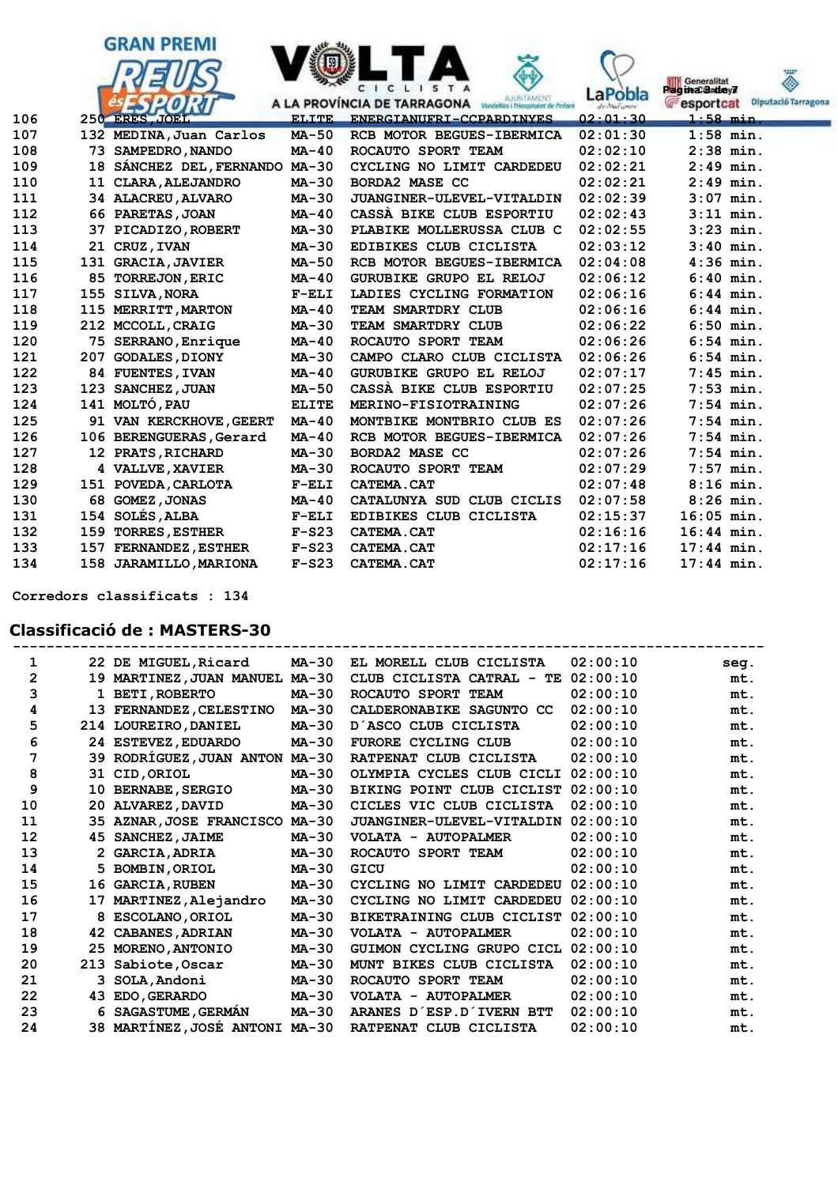



| 109 |     | 18 SANCHEZ DEL, FERNANDO MA-30 |              | CYCLING NO LIMIT CARDEDEU      | 02:02:21 | $2:49$ min.  |
|-----|-----|--------------------------------|--------------|--------------------------------|----------|--------------|
| 110 | 11  | <b>CLARA, ALEJANDRO</b>        | MA-30        | <b>BORDA2 MASE CC</b>          | 02:02:21 | $2:49$ min.  |
| 111 |     | 34 ALACREU, ALVARO             | MA-30        | JUANGINER-ULEVEL-VITALDIN      | 02:02:39 | $3:07$ min.  |
| 112 |     | 66 PARETAS, JOAN               | $MA-40$      | CASSA BIKE CLUB ESPORTIU       | 02:02:43 | $3:11$ min.  |
| 113 |     | 37 PICADIZO, ROBERT            | $MA-30$      | PLABIKE MOLLERUSSA CLUB C      | 02:02:55 | $3:23$ min.  |
| 114 |     | 21 CRUZ, IVAN                  | MA-30        | EDIBIKES CLUB CICLISTA         | 02:03:12 | $3:40$ min.  |
| 115 |     | 131 GRACIA, JAVIER             | MA-50        | RCB MOTOR BEGUES-IBERMICA      | 02:04:08 | $4:36$ min.  |
| 116 |     | 85 TORREJON, ERIC              | $MA-40$      | <b>GURUBIKE GRUPO EL RELOJ</b> | 02:06:12 | $6:40$ min.  |
| 117 | 155 | <b>SILVA, NORA</b>             | $F-ELI$      | LADIES CYCLING FORMATION       | 02:06:16 | $6:44$ min.  |
| 118 |     | 115 MERRITT, MARTON            | $MA-40$      | TEAM SMARTDRY CLUB             | 02:06:16 | $6:44$ min.  |
| 119 |     | 212 MCCOLL, CRAIG              | <b>MA-30</b> | TEAM SMARTDRY CLUB             | 02:06:22 | $6:50$ min.  |
| 120 |     | 75 SERRANO, Enrique            | $MA-40$      | ROCAUTO SPORT TEAM             | 02:06:26 | $6:54$ min.  |
| 121 | 207 | <b>GODALES, DIONY</b>          | $MA-30$      | CAMPO CLARO CLUB CICLISTA      | 02:06:26 | $6:54$ min.  |
| 122 |     | 84 FUENTES, IVAN               | $MA-40$      | <b>GURUBIKE GRUPO EL RELOJ</b> | 02:07:17 | $7:45$ min.  |
| 123 |     | 123 SANCHEZ, JUAN              | <b>MA-50</b> | CASSA BIKE CLUB ESPORTIU       | 02:07:25 | $7:53$ min.  |
| 124 |     | 141 MOLTÓ, PAU                 | <b>ELITE</b> | MERINO-FISIOTRAINING           | 02:07:26 | $7:54$ min.  |
| 125 |     | 91 VAN KERCKHOVE, GEERT        | $MA-40$      | MONTBIKE MONTBRIO CLUB ES      | 02:07:26 | $7:54$ min.  |
| 126 |     | 106 BERENGUERAS, Gerard        | $MA-40$      | RCB MOTOR BEGUES-IBERMICA      | 02:07:26 | $7:54$ min.  |
| 127 |     | 12 PRATS, RICHARD              | MA-30        | <b>BORDA2 MASE CC</b>          | 02:07:26 | $7:54$ min.  |
| 128 |     | 4 VALLVE, XAVIER               | <b>MA-30</b> | ROCAUTO SPORT TEAM             | 02:07:29 | $7:57$ min.  |
| 129 |     | 151 POVEDA, CARLOTA            | $F-ELI$      | CATEMA.CAT                     | 02:07:48 | $8:16$ min.  |
| 130 | 68  | <b>GOMEZ, JONAS</b>            | $MA-40$      | CATALUNYA SUD CLUB CICLIS      | 02:07:58 | $8:26$ min.  |
| 131 | 154 | <b>SOLÉS, ALBA</b>             | $F-ELI$      | EDIBIKES CLUB CICLISTA         | 02:15:37 | $16:05$ min. |
| 132 | 159 | <b>TORRES, ESTHER</b>          | $F-S23$      | CATEMA.CAT                     | 02:16:16 | $16:44$ min. |
| 133 |     | 157 FERNANDEZ, ESTHER          | $F-S23$      | CATEMA.CAT                     | 02:17:16 | $17:44$ min. |
| 134 | 158 | <b>JARAMILLO, MARIONA</b>      | $F-S23$      | CATEMA.CAT                     | 02:17:16 | $17:44$ min. |
|     |     |                                |              |                                |          |              |

 **Corredors classificats : 134**

# **Classificació de : MASTERS-30**

| 1            |    | 22 DE MIGUEL, Ricard           | <b>MA-30</b> | EL MORELL CLUB CICLISTA       | 02:00:10 | seq. |
|--------------|----|--------------------------------|--------------|-------------------------------|----------|------|
| $\mathbf{2}$ |    | 19 MARTINEZ, JUAN MANUEL MA-30 |              | CLUB CICLISTA CATRAL -<br>TE. | 02:00:10 | mt.  |
| 3            |    | <b>BETI, ROBERTO</b>           | <b>MA-30</b> | ROCAUTO SPORT TEAM            | 02:00:10 | mt.  |
| 4            |    | 13 FERNANDEZ, CELESTINO        | MA-30        | CALDERONABIKE SAGUNTO CC      | 02:00:10 | mt.  |
| 5            |    | 214 LOUREIRO, DANIEL           | <b>MA-30</b> | D'ASCO CLUB CICLISTA          | 02:00:10 | mt.  |
| 6            |    | 24 ESTEVEZ, EDUARDO            | MA-30        | FURORE CYCLING CLUB           | 02:00:10 | mt.  |
| 7            |    | 39 RODRÍGUEZ, JUAN ANTON MA-30 |              | RATPENAT CLUB CICLISTA        | 02:00:10 | mt.  |
| 8            |    | 31 CID, ORIOL                  | MA-30        | OLYMPIA CYCLES CLUB CICLI     | 02:00:10 | mt.  |
| 9            | 10 | <b>BERNABE, SERGIO</b>         | MA-30        | BIKING POINT CLUB CICLIST     | 02:00:10 | mt.  |
| 10           |    | 20 ALVAREZ, DAVID              | MA-30        | CICLES VIC CLUB CICLISTA      | 02:00:10 | mt.  |
| 11           |    | 35 AZNAR, JOSE FRANCISCO       | <b>MA-30</b> | JUANGINER-ULEVEL-VITALDIN     | 02:00:10 | mt.  |
| 12           | 45 | SANCHEZ, JAIME                 | MA-30        | VOLATA - AUTOPALMER           | 02:00:10 | mt.  |
| 13           |    | 2 GARCIA, ADRIA                | <b>MA-30</b> | ROCAUTO SPORT TEAM            | 02:00:10 | mt.  |
| 14           |    | 5 BOMBIN, ORIOL                | MA-30        | GICU                          | 02:00:10 | mt.  |
| 15           |    | 16 GARCIA, RUBEN               | MA-30        | CYCLING NO LIMIT CARDEDEU     | 02:00:10 | mt.  |
| 16           | 17 | MARTINEZ, Alejandro            | MA-30        | CYCLING NO LIMIT CARDEDEU     | 02:00:10 | mt.  |
| 17           | 8  | <b>ESCOLANO, ORIOL</b>         | <b>MA-30</b> | BIKETRAINING CLUB CICLIST     | 02:00:10 | mt.  |
| 18           |    | 42 CABANES, ADRIAN             | MA-30        | VOLATA - AUTOPALMER           | 02:00:10 | mt.  |
| 19           | 25 | <b>MORENO, ANTONIO</b>         | MA-30        | GUIMON CYCLING GRUPO CICL     | 02:00:10 | mt.  |
| 20           |    | 213 Sabiote, Oscar             | MA-30        | MUNT BIKES CLUB CICLISTA      | 02:00:10 | mt.  |
| 21           |    | 3 SOLA, Andoni                 | MA-30        | ROCAUTO SPORT TEAM            | 02:00:10 | mt.  |
| 22           | 43 | <b>EDO, GERARDO</b>            | MA-30        | VOLATA - AUTOPALMER           | 02:00:10 | mt.  |
| 23           |    | 6 SAGASTUME, GERMAN            | MA-30        | ARANES D'ESP.D'IVERN BTT      | 02:00:10 | mt.  |
| 24           |    | 38 MARTÍNEZ, JOSÉ ANTONI MA-30 |              | RATPENAT CLUB CICLISTA        | 02:00:10 | mt.  |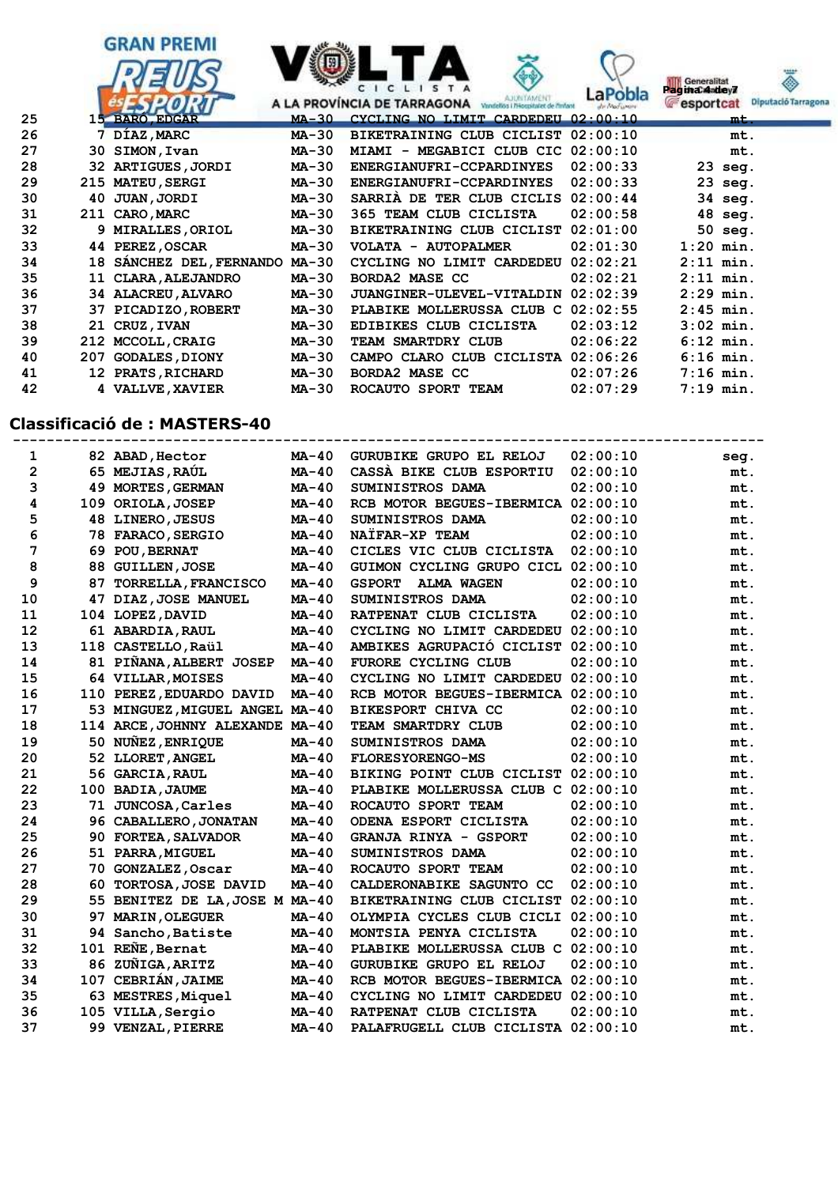

## **Classificació de : MASTERS-40**

| 1              |     | 82 ABAD, Hector                 | MA-40        | GURUBIKE GRUPO EL RELOJ            | 02:00:10 | seg. |
|----------------|-----|---------------------------------|--------------|------------------------------------|----------|------|
| $\overline{2}$ |     | 65 MEJIAS, RAUL                 | $MA-40$      | CASSA BIKE CLUB ESPORTIU           | 02:00:10 | mt.  |
| 3              |     | 49 MORTES, GERMAN               | $MA-40$      | SUMINISTROS DAMA                   | 02:00:10 | mt.  |
| 4              |     | 109 ORIOLA, JOSEP               | MA-40        | RCB MOTOR BEGUES-IBERMICA          | 02:00:10 | mt.  |
| 5              |     | 48 LINERO, JESUS                | $MA-40$      | SUMINISTROS DAMA                   | 02:00:10 | mt.  |
| 6              |     | 78 FARACO, SERGIO               | $MA-40$      | NATFAR-XP TEAM                     | 02:00:10 | mt.  |
| 7              | 69. | <b>POU, BERNAT</b>              | MA-40        | CICLES VIC CLUB CICLISTA           | 02:00:10 | mt.  |
| 8              | 88  | <b>GUILLEN, JOSE</b>            | $MA-40$      | GUIMON CYCLING GRUPO CICL          | 02:00:10 | mt.  |
| 9              | 87  | <b>TORRELLA, FRANCISCO</b>      | $MA-40$      | <b>GSPORT</b><br><b>ALMA WAGEN</b> | 02:00:10 | mt.  |
| 10             | 47  | DIAZ, JOSE MANUEL               | MA-40        | SUMINISTROS DAMA                   | 02:00:10 | mt.  |
| 11             | 104 | LOPEZ, DAVID                    | MA-40        | RATPENAT CLUB CICLISTA             | 02:00:10 | mt.  |
| 12             |     | 61 ABARDIA, RAUL                | $MA-40$      | CYCLING NO LIMIT CARDEDEU          | 02:00:10 | mt.  |
| 13             |     | 118 CASTELLO, Raül              | MA-40        | AMBIKES AGRUPACIÓ CICLIST          | 02:00:10 | mt.  |
| 14             |     | 81 PIÑANA, ALBERT JOSEP         | <b>MA-40</b> | FURORE CYCLING CLUB                | 02:00:10 | mt.  |
| 15             |     | 64 VILLAR, MOISES               | $MA-40$      | CYCLING NO LIMIT CARDEDEU 02:00:10 |          | mt.  |
| 16             |     | 110 PEREZ, EDUARDO DAVID        | MA-40        | RCB MOTOR BEGUES-IBERMICA          | 02:00:10 | mt.  |
| 17             |     | 53 MINGUEZ, MIGUEL ANGEL MA-40  |              | BIKESPORT CHIVA CC                 | 02:00:10 | mt.  |
| 18             |     | 114 ARCE, JOHNNY ALEXANDE MA-40 |              | TEAM SMARTDRY CLUB                 | 02:00:10 | mt.  |
| 19             |     | 50 NUNEZ, ENRIQUE               | MA-40        | <b>SUMINISTROS DAMA</b>            | 02:00:10 | mt.  |
| 20             |     | 52 LLORET, ANGEL                | MA-40        | <b>FLORESYORENGO-MS</b>            | 02:00:10 | mt.  |
| 21             |     | 56 GARCIA, RAUL                 | $MA-40$      | BIKING POINT CLUB CICLIST          | 02:00:10 | mt.  |
| 22             |     | 100 BADIA, JAUME                | MA-40        | PLABIKE MOLLERUSSA CLUB C          | 02:00:10 | mt.  |
| 23             | 71  | <b>JUNCOSA, Carles</b>          | $MA-40$      | ROCAUTO SPORT TEAM                 | 02:00:10 | mt.  |
| 24             |     | 96 CABALLERO, JONATAN           | $MA-40$      | ODENA ESPORT CICLISTA              | 02:00:10 | mt.  |
| 25             | 90. | <b>FORTEA, SALVADOR</b>         | MA-40        | GRANJA RINYA - GSPORT              | 02:00:10 | mt.  |
| 26             | 51. | <b>PARRA, MIGUEL</b>            | MA-40        | <b>SUMINISTROS DAMA</b>            | 02:00:10 | mt.  |
| 27             | 70. | <b>GONZALEZ, Oscar</b>          | $MA-40$      | ROCAUTO SPORT TEAM                 | 02:00:10 | mt.  |
| 28             | 60. | TORTOSA, JOSE DAVID             | MA-40        | CALDERONABIKE SAGUNTO CC           | 02:00:10 | mt.  |
| 29             |     | 55 BENITEZ DE LA, JOSE M MA-40  |              | BIKETRAINING CLUB CICLIST          | 02:00:10 | mt.  |
| 30             | 97  | <b>MARIN, OLEGUER</b>           | <b>MA-40</b> | OLYMPIA CYCLES CLUB CICLI          | 02:00:10 | mt.  |
| 31             | 94  | Sancho, Batiste                 | MA-40        | MONTSIA PENYA CICLISTA             | 02:00:10 | mt.  |
| 32             | 101 | REÑE, Bernat                    | MA-40        | PLABIKE MOLLERUSSA CLUB C 02:00:10 |          | mt.  |
| 33             |     | 86 ZUÑIGA, ARITZ                | $MA-40$      | GURUBIKE GRUPO EL RELOJ            | 02:00:10 | mt.  |
| 34             | 107 | <b>CEBRIAN, JAIME</b>           | MA-40        | RCB MOTOR BEGUES-IBERMICA 02:00:10 |          | mt.  |
| 35             |     | 63 MESTRES, Miquel              | MA-40        | CYCLING NO LIMIT CARDEDEU          | 02:00:10 | mt.  |
| 36             |     | 105 VILLA, Sergio               | <b>MA-40</b> | RATPENAT CLUB CICLISTA             | 02:00:10 | mt.  |
| 37             |     | 99 VENZAL, PIERRE               | $MA-40$      | PALAFRUGELL CLUB CICLISTA          | 02:00:10 | mt.  |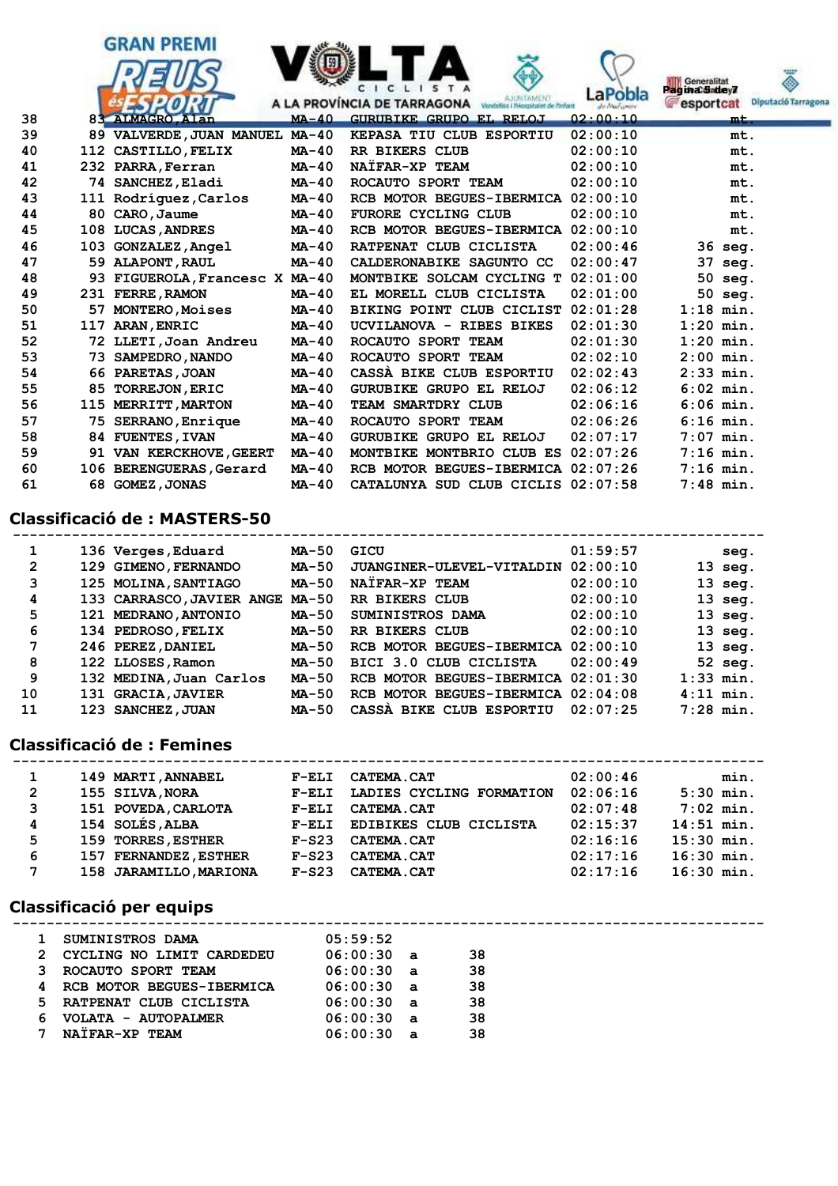

## **Classificació de : MASTERS-50**

| 1              |     | 136 Verges, Eduard              | MA-50   | GICU                               | 01:59:57 |             | seq.      |
|----------------|-----|---------------------------------|---------|------------------------------------|----------|-------------|-----------|
| $\overline{2}$ |     | 129 GIMENO, FERNANDO            | MA-50   | JUANGINER-ULEVEL-VITALDIN          | 02:00:10 |             | $13$ seq. |
| 3              |     | 125 MOLINA, SANTIAGO            | MA-50   | NAIFAR-XP TEAM                     | 02:00:10 |             | $13$ seg. |
| 4              |     | 133 CARRASCO, JAVIER ANGE MA-50 |         | RR BIKERS CLUB                     | 02:00:10 |             | $13$ seg. |
| 5              |     | 121 MEDRANO, ANTONIO            | MA-50   | SUMINISTROS DAMA                   | 02:00:10 |             | $13$ seq. |
| 6              |     | 134 PEDROSO, FELIX              | MA-50   | RR BIKERS CLUB                     | 02:00:10 |             | $13$ seq. |
| 7              |     | 246 PEREZ, DANIEL               | MA-50   | RCB MOTOR BEGUES-IBERMICA          | 02:00:10 |             | $13$ seq. |
| 8              |     | 122 LLOSES, Ramon               | $MA-50$ | BICI 3.0 CLUB CICLISTA             | 02:00:49 |             | 52 seg.   |
| 9              |     | 132 MEDINA, Juan Carlos         | $MA-50$ | RCB MOTOR BEGUES-IBERMICA 02:01:30 |          | $1:33$ min. |           |
| 10             |     | 131 GRACIA, JAVIER              | MA-50   | RCB MOTOR BEGUES-IBERMICA 02:04:08 |          | $4:11$ min. |           |
| 11             | 123 | <b>SANCHEZ, JUAN</b>            | $MA-50$ | CASSA BIKE CLUB ESPORTIU           | 02:07:25 | $7:28$ min. |           |

## **Classificació de : Femines**

| min.         |
|--------------|
| $5:30$ min.  |
| $7:02$ min.  |
| $14:51$ min. |
| $15:30$ min. |
| $16:30$ min. |
| $16:30$ min. |
|              |

 **-----------------------------------------------------------------------------------------**

#### **Classificació per equips**

| 2<br>ર<br>4<br>5.<br>6 | <b>SUMINISTROS DAMA</b><br>CYCLING NO LIMIT CARDEDEU<br>ROCAUTO SPORT TEAM<br>RCB MOTOR BEGUES-IBERMICA<br>RATPENAT CLUB CICLISTA<br>VOLATA - AUTOPALMER | 05:59:52<br>06:00:30a<br>06:00:30<br>06:00:30<br>06:00:30<br>06:00:30 | $\overline{a}$<br>$\overline{a}$<br>$\overline{a}$<br>а | 38<br>38<br>38<br>38<br>38 |
|------------------------|----------------------------------------------------------------------------------------------------------------------------------------------------------|-----------------------------------------------------------------------|---------------------------------------------------------|----------------------------|
|                        |                                                                                                                                                          |                                                                       |                                                         |                            |
|                        | NATFAR-XP TEAM                                                                                                                                           | 06:00:30                                                              | а                                                       | 38                         |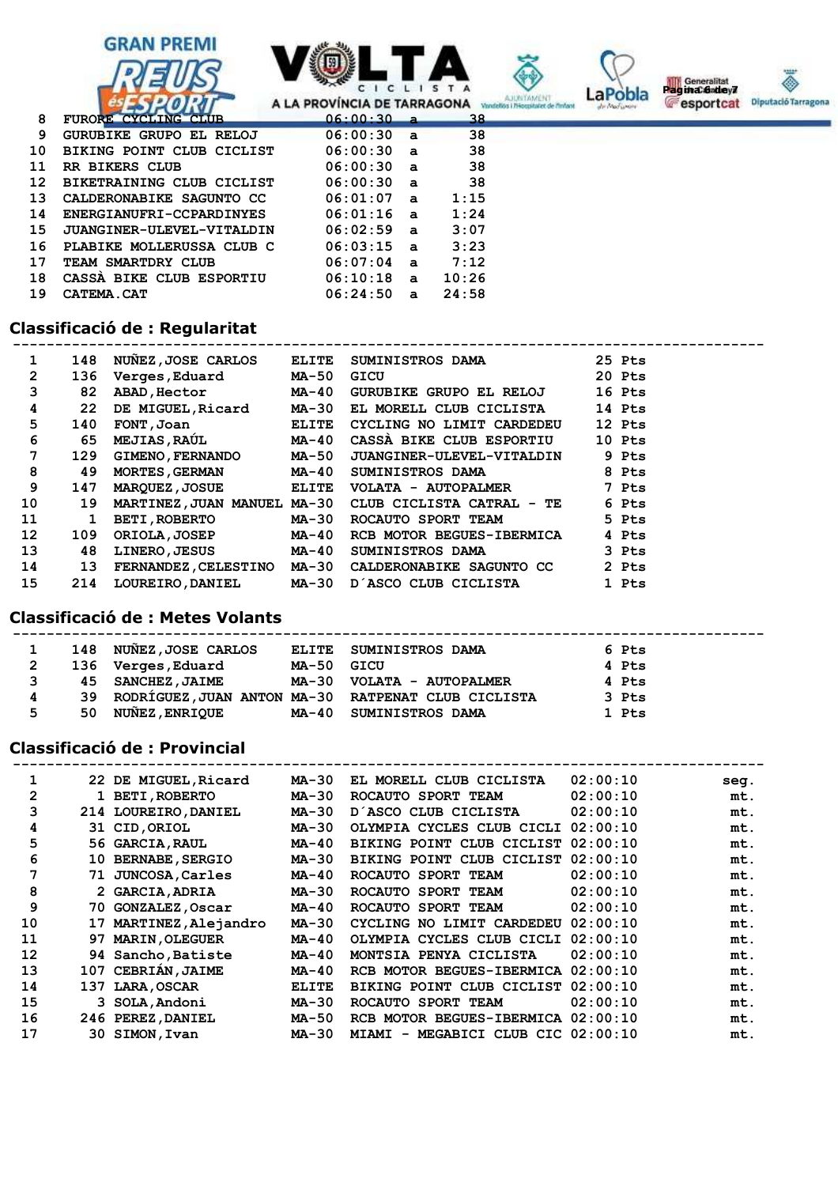









| 8   | FURORE CYCLING CLUB       | $06:00:30$ a |              | 38    |  |
|-----|---------------------------|--------------|--------------|-------|--|
| 9   | GURUBIKE GRUPO EL RELOJ   | $06:00:30$ a |              | 38    |  |
| 10  | BIKING POINT CLUB CICLIST | 06:00:30a    |              | 38    |  |
| 11  | RR BIKERS CLUB            | $06:00:30$ a |              | 38    |  |
| 12  | BIKETRAINING CLUB CICLIST | 06:00:30a    |              | 38    |  |
| 13. | CALDERONABIKE SAGUNTO CC  | 06:01:07     | $\mathbf{a}$ | 1:15  |  |
| 14  | ENERGIANUFRI-CCPARDINYES  | $06:01:16$ a |              | 1:24  |  |
| 15. | JUANGINER-ULEVEL-VITALDIN | $06:02:59$ a |              | 3:07  |  |
| 16. | PLABIKE MOLLERUSSA CLUB C | $06:03:15$ a |              | 3:23  |  |
| 17  | TEAM SMARTDRY CLUB        | 06:07:04     | $\mathbf{a}$ | 7:12  |  |
| 18. | CASSA BIKE CLUB ESPORTIU  | 06:10:18     | $\mathbf{a}$ | 10:26 |  |
| 19  | <b>CATEMA.CAT</b>         | 06:24:50     | $\mathbf{a}$ | 24:58 |  |

# **Classificació de : Regularitat**

| 1              | 148 | NUNEZ, JOSE CARLOS          | <b>ELITE</b> | <b>SUMINISTROS DAMA</b>                               | 25 Pts |
|----------------|-----|-----------------------------|--------------|-------------------------------------------------------|--------|
| $\overline{2}$ | 136 | <b>Verges, Eduard</b>       | <b>MA-50</b> | GICU                                                  | 20 Pts |
| 3              | 82  | <b>ABAD, Hector</b>         | MA-40        | GURUBIKE GRUPO EL RELOJ                               | 16 Pts |
| 4              | 22  | DE MIGUEL, Ricard           | MA-30        | EL MORELL CLUB CICLISTA                               | 14 Pts |
| 5              | 140 | FONT , Joan                 | <b>ELITE</b> | CYCLING NO LIMIT CARDEDEU                             | 12 Pts |
| 6              | 65  | <b>MEJIAS, RAUL</b>         | MA-40        | CASSA BIKE CLUB ESPORTIU                              | 10 Pts |
| 7              | 129 | <b>GIMENO, FERNANDO</b>     | MA-50        | <b>JUANGINER-ULEVEL-VITALDIN</b>                      | 9 Pts  |
| 8              | 49  | <b>MORTES, GERMAN</b>       | MA-40        | <b>SUMINISTROS DAMA</b>                               | 8 Pts  |
| 9              | 147 | <b>MARQUEZ, JOSUE</b>       | ELITE        | VOLATA - AUTOPALMER                                   | 7 Pts  |
| 10             | 19  |                             |              | MARTINEZ, JUAN MANUEL MA-30 CLUB CICLISTA CATRAL - TE | 6 Pts  |
| 11             | 1   | <b>BETI, ROBERTO</b>        | MA-30        | ROCAUTO SPORT TEAM                                    | 5 Pts  |
| 12             | 109 | ORIOLA, JOSEP               | MA-40        | RCB MOTOR BEGUES-IBERMICA                             | 4 Pts  |
| 13             | 48  | <b>LINERO, JESUS</b>        | MA-40        | <b>SUMINISTROS DAMA</b>                               | 3 Pts  |
| 14             | 13  | <b>FERNANDEZ, CELESTINO</b> | <b>MA-30</b> | CALDERONABIKE SAGUNTO CC                              | 2 Pts  |
| 15             | 214 | <b>LOUREIRO, DANIEL</b>     | MA-30        | D'ASCO CLUB CICLISTA                                  | 1 Pts  |

## **Classificació de : Metes Volants**

|              |    | 148 NUÑEZ, JOSE CARLOS |            | ELITE SUMINISTROS DAMA                                | 6 Pts |
|--------------|----|------------------------|------------|-------------------------------------------------------|-------|
| $\mathbf{2}$ |    | 136 Verges, Eduard     | MA-50 GICU |                                                       | 4 Pts |
| 3            |    | 45 SANCHEZ, JAIME      |            | MA-30 VOLATA - AUTOPALMER                             | 4 Pts |
| 4            |    |                        |            | 39 RODRÍGUEZ, JUAN ANTON MA-30 RATPENAT CLUB CICLISTA | 3 Pts |
| 5            | 50 | <b>NUÑEZ, ENRIQUE</b>  |            | MA-40 SUMINISTROS DAMA                                | 1 Pts |

# **Classificació de : Provincial**

|    |     | 22 DE MIGUEL, Ricard   | MA-30        | EL MORELL CLUB CICLISTA                         | 02:00:10 | seg. |
|----|-----|------------------------|--------------|-------------------------------------------------|----------|------|
| 2  |     | 1 BETI, ROBERTO        | <b>MA-30</b> | ROCAUTO SPORT TEAM                              | 02:00:10 | mt.  |
| 3  |     | 214 LOUREIRO, DANIEL   | <b>MA-30</b> | D'ASCO CLUB CICLISTA                            | 02:00:10 | mt.  |
| 4  |     | 31 CID, ORIOL          | <b>MA-30</b> | OLYMPIA CYCLES CLUB CICLI                       | 02:00:10 | mt.  |
| 5  |     | 56 GARCIA, RAUL        | MA-40        | BIKING POINT CLUB CICLIST                       | 02:00:10 | mt.  |
| 6  | 10. | <b>BERNABE, SERGIO</b> | <b>MA-30</b> | BIKING POINT CLUB CICLIST                       | 02:00:10 | mt.  |
| 7  | 71  | <b>JUNCOSA, Carles</b> | MA-40        | ROCAUTO SPORT TEAM                              | 02:00:10 | mt.  |
| 8  |     | 2 GARCIA, ADRIA        | MA-30        | ROCAUTO SPORT TEAM                              | 02:00:10 | mt.  |
| 9  | 70. | <b>GONZALEZ, Oscar</b> | <b>MA-40</b> | ROCAUTO SPORT TEAM                              | 02:00:10 | mt.  |
| 10 | 17  | MARTINEZ, Alejandro    | MA-30        | CYCLING NO LIMIT CARDEDEU                       | 02:00:10 | mt.  |
| 11 | 97  | <b>MARIN, OLEGUER</b>  | MA-40        | OLYMPIA CYCLES CLUB CICLI                       | 02:00:10 | mt.  |
| 12 |     | 94 Sancho, Batiste     | MA-40        | MONTSIA PENYA CICLISTA                          | 02:00:10 | mt.  |
| 13 | 107 | CEBRIAN, JAIME         | <b>MA-40</b> | RCB MOTOR BEGUES-IBERMICA                       | 02:00:10 | mt.  |
| 14 | 137 | <b>LARA, OSCAR</b>     | <b>ELITE</b> | BIKING POINT CLUB CICLIST                       | 02:00:10 | mt.  |
| 15 | 3.  | <b>SOLA, Andoni</b>    | <b>MA-30</b> | ROCAUTO SPORT TEAM                              | 02:00:10 | mt.  |
| 16 |     | 246 PEREZ, DANIEL      | <b>MA-50</b> | RCB MOTOR BEGUES-IBERMICA                       | 02:00:10 | mt.  |
| 17 |     | 30 SIMON, Ivan         | MA-30        | MEGABICI CLUB CIC 02:00:10<br><b>MIAMI</b><br>- |          | mt.  |